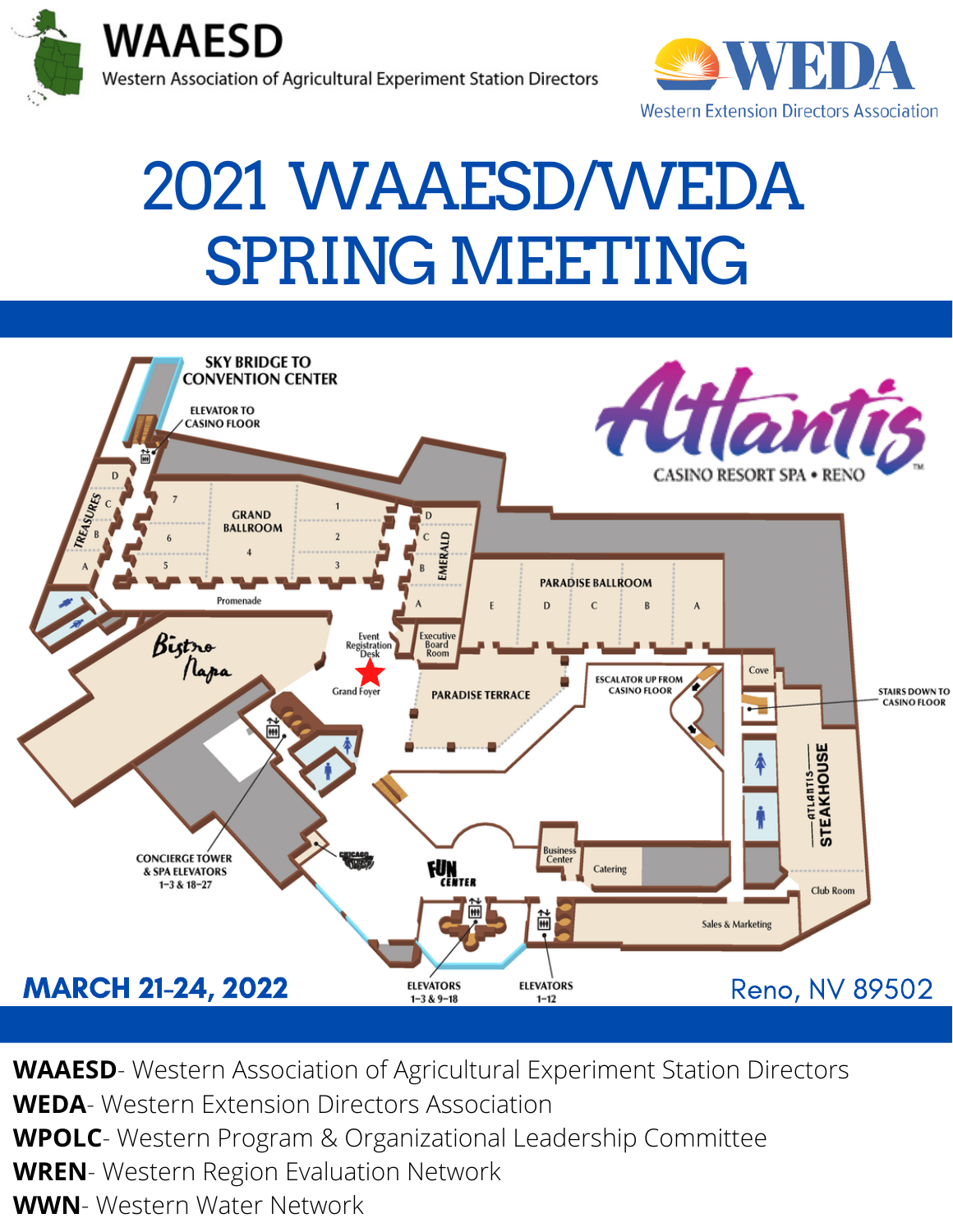



# [2021](http://escop.info/ess-2021) WAAESD/WEDA SPRING [MEETING](http://escop.info/ess-2021)



**WAAESD**- Western Association of Agricultural Experiment Station Directors **WEDA**- Western Extension Directors Association **[WPOLC](https://weda.extension.org/committees/western-program-and-organizational-leadership-committee/)**- Western Program & [Organizational](https://weda.extension.org/committees/western-program-and-organizational-leadership-committee/) Leadership Committee **WREN**- Western Region Evaluation Network **WWN**- Western Water Network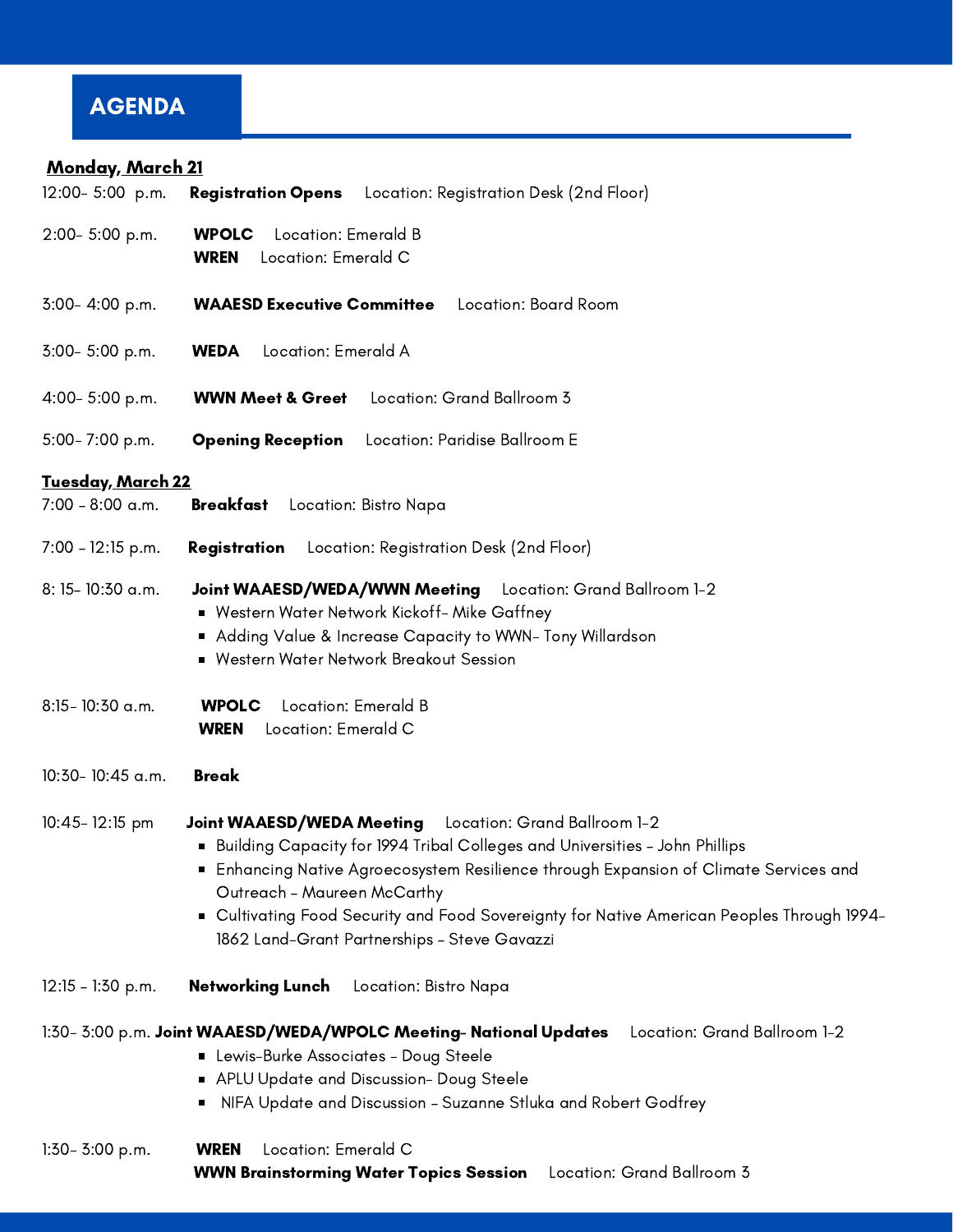## AGENDA

## Monday, March 21

| 12:00-5:00 p.m.          | <b>Registration Opens</b> Location: Registration Desk (2nd Floor)                                                                                                                                                                                                                                                                                                                                         |
|--------------------------|-----------------------------------------------------------------------------------------------------------------------------------------------------------------------------------------------------------------------------------------------------------------------------------------------------------------------------------------------------------------------------------------------------------|
| 2:00-5:00 p.m.           | Location: Emerald B<br><b>WPOLC</b><br>Location: Emerald C<br><b>WREN</b>                                                                                                                                                                                                                                                                                                                                 |
| 3:00-4:00 p.m.           | <b>WAAESD Executive Committee</b><br>Location: Board Room                                                                                                                                                                                                                                                                                                                                                 |
| 3:00-5:00 p.m.           | Location: Emerald A<br><b>WEDA</b>                                                                                                                                                                                                                                                                                                                                                                        |
| 4:00-5:00 p.m.           | <b>WWN Meet &amp; Greet</b> Location: Grand Ballroom 3                                                                                                                                                                                                                                                                                                                                                    |
| 5:00-7:00 p.m.           | Location: Paridise Ballroom E<br><b>Opening Reception</b>                                                                                                                                                                                                                                                                                                                                                 |
| <u>Tuesday, March 22</u> |                                                                                                                                                                                                                                                                                                                                                                                                           |
| 7:00 - 8:00 a.m.         | <b>Breakfast</b> Location: Bistro Napa                                                                                                                                                                                                                                                                                                                                                                    |
| 7:00 - 12:15 p.m.        | Registration<br>Location: Registration Desk (2nd Floor)                                                                                                                                                                                                                                                                                                                                                   |
| 8: 15- 10:30 a.m.        | Joint WAAESD/WEDA/WWN Meeting Location: Grand Ballroom 1-2<br>■ Western Water Network Kickoff- Mike Gaffney<br>Adding Value & Increase Capacity to WWN- Tony Willardson<br>■ Western Water Network Breakout Session                                                                                                                                                                                       |
| 8:15-10:30 a.m.          | Location: Emerald B<br><b>WPOLC</b><br>Location: Emerald C<br><b>WREN</b>                                                                                                                                                                                                                                                                                                                                 |
| 10:30-10:45 a.m.         | <b>Break</b>                                                                                                                                                                                                                                                                                                                                                                                              |
| 10:45-12:15 pm           | Joint WAAESD/WEDA Meeting Location: Grand Ballroom 1-2<br>Building Capacity for 1994 Tribal Colleges and Universities - John Phillips<br>Enhancing Native Agroecosystem Resilience through Expansion of Climate Services and<br>Outreach - Maureen McCarthy<br>■ Cultivating Food Security and Food Sovereignty for Native American Peoples Through 1994–<br>1862 Land-Grant Partnerships - Steve Gavazzi |
| $12:15 - 1:30 p.m.$      | Networking Lunch<br>Location: Bistro Napa                                                                                                                                                                                                                                                                                                                                                                 |
|                          | 1:30- 3:00 p.m. Joint WAAESD/WEDA/WPOLC Meeting- National Updates<br>Location: Grand Ballroom 1-2<br>Lewis-Burke Associates - Doug Steele<br>APLU Update and Discussion- Doug Steele<br>NIFA Update and Discussion - Suzanne Stluka and Robert Godfrey                                                                                                                                                    |
| $1:30-3:00$ p.m.         | Location: Emerald C<br><b>WREN</b><br>Location: Grand Ballroom 3<br><b>WWN Brainstorming Water Topics Session</b>                                                                                                                                                                                                                                                                                         |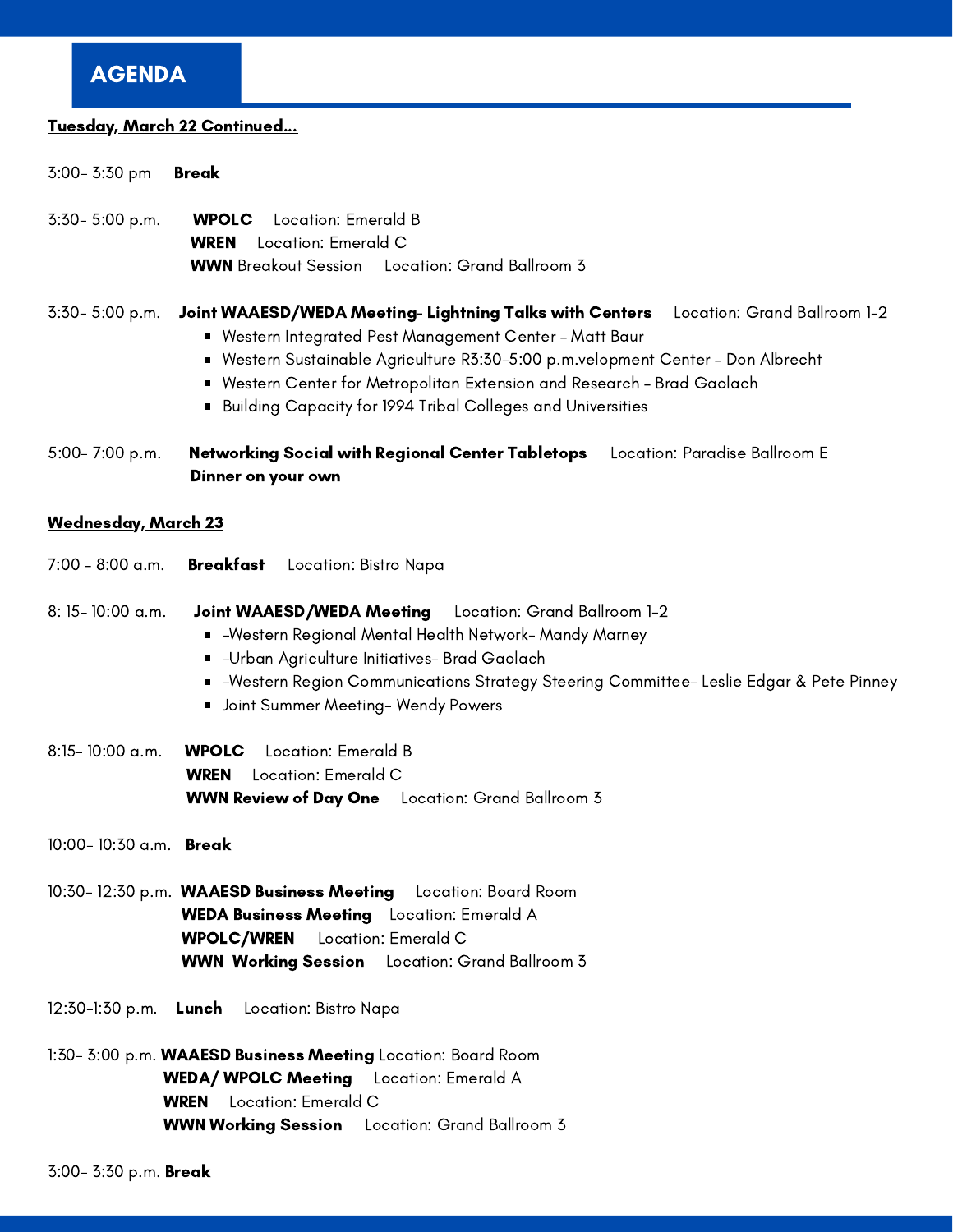## **AGENDA**

#### Tuesday, March 22 Continued...

| 3:00- 3:30 pm |  | <b>Break</b> |
|---------------|--|--------------|
|---------------|--|--------------|

3:30- 5:00 p.m. WPOLC Location: Emerald B WREN Location: Emerald C WWN Breakout Session Location: Grand Ballroom 3

#### 3:30- 5:00 p.m. Joint WAAESD/WEDA Meeting- Lightning Talks with Centers Location: Grand Ballroom 1-2

- Western Integrated Pest Management Center Matt Baur
- Western Sustainable Agriculture R3:30-5:00 p.m.velopment Center Don Albrecht
- Western Center for Metropolitan Extension and Research Brad Gaolach
- Building Capacity for 1994 Tribal Colleges and Universities
- 5:00- 7:00 p.m. Networking Social with Regional Center Tabletops Location: Paradise Ballroom E Dinner on your own

#### Wednesday, March 23

|                        | 7:00 - 8:00 a.m. Breakfast Location: Bistro Napa                                                                                                                                                                                                                                                     |
|------------------------|------------------------------------------------------------------------------------------------------------------------------------------------------------------------------------------------------------------------------------------------------------------------------------------------------|
| $8:15-10:00$ a.m.      | Joint WAAESD/WEDA Meeting Location: Grand Ballroom 1-2<br>■ -Western Regional Mental Health Network- Mandy Marney<br>Urban Agriculture Initiatives- Brad Gaolach<br>■ -Western Region Communications Strategy Steering Committee- Leslie Edgar & Pete Pinney<br>■ Joint Summer Meeting- Wendy Powers |
|                        | 8:15-10:00 a.m. <b>WPOLC</b> Location: Emerald B<br>Location: Emerald C<br><b>WREN</b><br><b>WWN Review of Day One</b> Location: Grand Ballroom 3                                                                                                                                                    |
| 10:00-10:30 a.m. Break |                                                                                                                                                                                                                                                                                                      |
|                        | 10:30-12:30 p.m. WAAESD Business Meeting Location: Board Room<br><b>WEDA Business Meeting</b> Location: Emerald A<br><b>WPOLC/WREN</b> Location: Emerald C<br><b>WWN Working Session</b> Location: Grand Ballroom 3                                                                                  |
|                        | 12:30-1:30 p.m. Lunch Location: Bistro Napa                                                                                                                                                                                                                                                          |
| <b>WREN</b>            | 1:30-3:00 p.m. WAAESD Business Meeting Location: Board Room<br><b>WEDA/ WPOLC Meeting</b> Location: Emerald A<br>Location: Emerald C<br><b>WWN Working Session</b> Location: Grand Ballroom 3                                                                                                        |